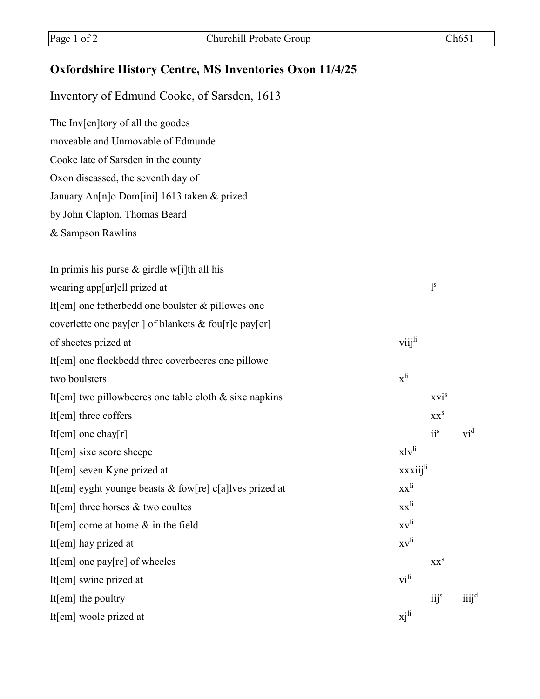## **Oxfordshire History Centre, MS Inventories Oxon 11/4/25**

Inventory of Edmund Cooke, of Sarsden, 1613

The Inv[en]tory of all the goodes

moveable and Unmovable of Edmunde

Cooke late of Sarsden in the county

Oxon diseassed, the seventh day of

January An[n]o Dom[ini] 1613 taken & prized

by John Clapton, Thomas Beard

& Sampson Rawlins

| In primis his purse $\&$ girdle w[i]th all his            |                          |                  |         |
|-----------------------------------------------------------|--------------------------|------------------|---------|
| wearing app[ar]ell prized at                              |                          | 1 <sup>s</sup>   |         |
| It[em] one fetherbedd one boulster $&$ pillowes one       |                          |                  |         |
| coverlette one pay[er ] of blankets & fou[r]e pay[er]     |                          |                  |         |
| of sheetes prized at                                      | viij <sup>li</sup>       |                  |         |
| It[em] one flockbedd three coverbeeres one pillowe        |                          |                  |         |
| two boulsters                                             | $\mathbf{x}^{\text{li}}$ |                  |         |
| It[em] two pillowbeeres one table cloth $&$ sixe napkins  |                          | xvi <sup>s</sup> |         |
| It[em] three coffers                                      |                          | XX <sup>S</sup>  |         |
| It[em] one chay[r]                                        |                          | $ii^s$           | $vi^d$  |
| It[em] sixe score sheepe                                  | x1v <sup>li</sup>        |                  |         |
| It[em] seven Kyne prized at                               | xxxiij <sup>li</sup>     |                  |         |
| It[em] eyght younge beasts $&$ fow[re] c[a]lves prized at | $xx^{li}$                |                  |         |
| It[em] three horses $&$ two coultes                       | $xx^{li}$                |                  |         |
| It[em] corne at home $\&$ in the field                    | $x v^{li}$               |                  |         |
| It[em] hay prized at                                      | $x v^{li}$               |                  |         |
| It[em] one pay $[re]$ of wheeles                          |                          | XX <sup>S</sup>  |         |
| It[em] swine prized at                                    | $\rm{vi}^{\rm{li}}$      |                  |         |
| It $[em]$ the poultry                                     |                          | $iij$ s          | $iii^d$ |
| It[em] woole prized at                                    | xj <sup>li</sup>         |                  |         |